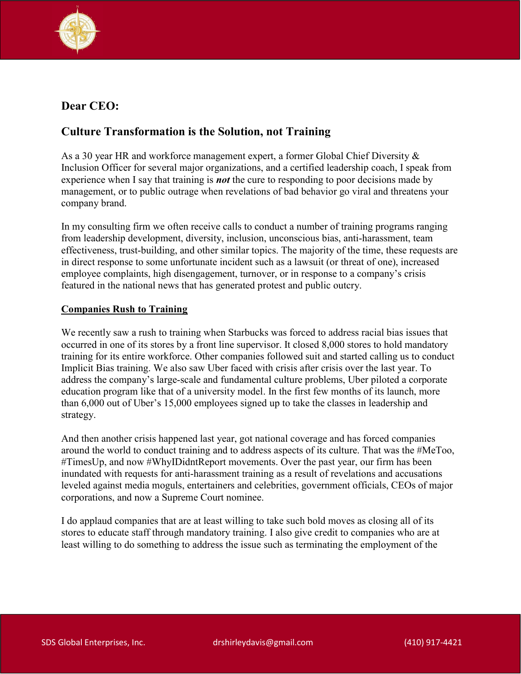

# Dear CEO:

## Culture Transformation is the Solution, not Training

As a 30 year HR and workforce management expert, a former Global Chief Diversity & Inclusion Officer for several major organizations, and a certified leadership coach, I speak from experience when I say that training is *not* the cure to responding to poor decisions made by management, or to public outrage when revelations of bad behavior go viral and threatens your company brand.

In my consulting firm we often receive calls to conduct a number of training programs ranging from leadership development, diversity, inclusion, unconscious bias, anti-harassment, team effectiveness, trust-building, and other similar topics. The majority of the time, these requests are in direct response to some unfortunate incident such as a lawsuit (or threat of one), increased employee complaints, high disengagement, turnover, or in response to a company's crisis featured in the national news that has generated protest and public outcry.

### Companies Rush to Training

We recently saw a rush to training when Starbucks was forced to address racial bias issues that occurred in one of its stores by a front line supervisor. It closed 8,000 stores to hold mandatory training for its entire workforce. Other companies followed suit and started calling us to conduct Implicit Bias training. We also saw Uber faced with crisis after crisis over the last year. To address the company's large-scale and fundamental culture problems, Uber piloted a corporate education program like that of a university model. In the first few months of its launch, more than 6,000 out of Uber's 15,000 employees signed up to take the classes in leadership and strategy.

And then another crisis happened last year, got national coverage and has forced companies around the world to conduct training and to address aspects of its culture. That was the #MeToo, #TimesUp, and now #WhyIDidntReport movements. Over the past year, our firm has been inundated with requests for anti-harassment training as a result of revelations and accusations leveled against media moguls, entertainers and celebrities, government officials, CEOs of major corporations, and now a Supreme Court nominee.

I do applaud companies that are at least willing to take such bold moves as closing all of its stores to educate staff through mandatory training. I also give credit to companies who are at least willing to do something to address the issue such as terminating the employment of the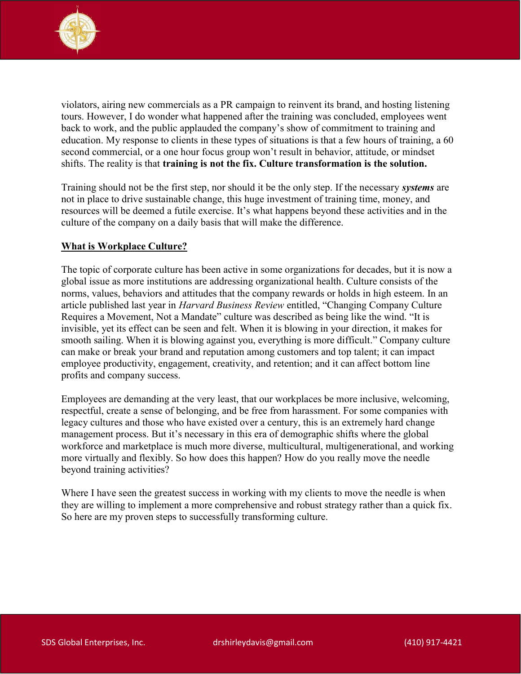

violators, airing new commercials as a PR campaign to reinvent its brand, and hosting listening tours. However, I do wonder what happened after the training was concluded, employees went back to work, and the public applauded the company's show of commitment to training and education. My response to clients in these types of situations is that a few hours of training, a 60 second commercial, or a one hour focus group won't result in behavior, attitude, or mindset shifts. The reality is that training is not the fix. Culture transformation is the solution.

Training should not be the first step, nor should it be the only step. If the necessary systems are not in place to drive sustainable change, this huge investment of training time, money, and resources will be deemed a futile exercise. It's what happens beyond these activities and in the culture of the company on a daily basis that will make the difference.

### What is Workplace Culture?

The topic of corporate culture has been active in some organizations for decades, but it is now a global issue as more institutions are addressing organizational health. Culture consists of the norms, values, behaviors and attitudes that the company rewards or holds in high esteem. In an article published last year in Harvard Business Review entitled, "Changing Company Culture Requires a Movement, Not a Mandate" culture was described as being like the wind. "It is invisible, yet its effect can be seen and felt. When it is blowing in your direction, it makes for smooth sailing. When it is blowing against you, everything is more difficult." Company culture can make or break your brand and reputation among customers and top talent; it can impact employee productivity, engagement, creativity, and retention; and it can affect bottom line profits and company success.

Employees are demanding at the very least, that our workplaces be more inclusive, welcoming, respectful, create a sense of belonging, and be free from harassment. For some companies with legacy cultures and those who have existed over a century, this is an extremely hard change management process. But it's necessary in this era of demographic shifts where the global workforce and marketplace is much more diverse, multicultural, multigenerational, and working more virtually and flexibly. So how does this happen? How do you really move the needle beyond training activities?

Where I have seen the greatest success in working with my clients to move the needle is when they are willing to implement a more comprehensive and robust strategy rather than a quick fix. So here are my proven steps to successfully transforming culture.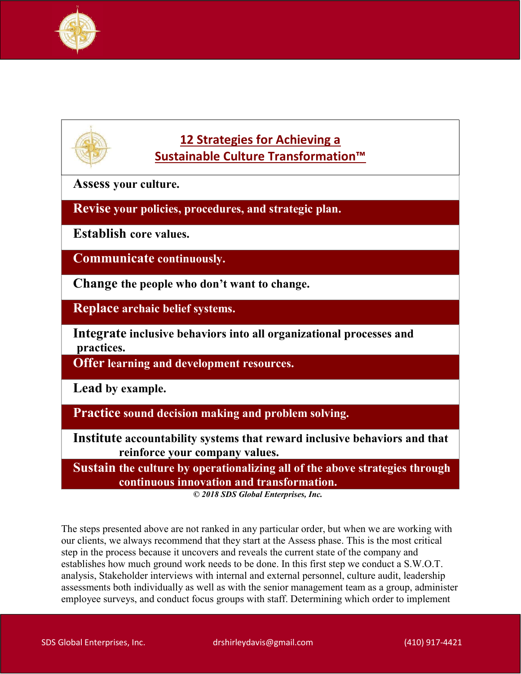



Assess your culture.

Revise your policies, procedures, and strategic plan.

Establish core values.

Communicate continuously.

Change the people who don't want to change.

Replace archaic belief systems.

Integrate inclusive behaviors into all organizational processes and practices.

Offer learning and development resources.

Lead by example.

Practice sound decision making and problem solving.

Institute accountability systems that reward inclusive behaviors and that reinforce your company values.

Sustain the culture by operationalizing all of the above strategies through continuous innovation and transformation.

© 2018 SDS Global Enterprises, Inc.

The steps presented above are not ranked in any particular order, but when we are working with our clients, we always recommend that they start at the Assess phase. This is the most critical step in the process because it uncovers and reveals the current state of the company and establishes how much ground work needs to be done. In this first step we conduct a S.W.O.T. analysis, Stakeholder interviews with internal and external personnel, culture audit, leadership assessments both individually as well as with the senior management team as a group, administer employee surveys, and conduct focus groups with staff. Determining which order to implement